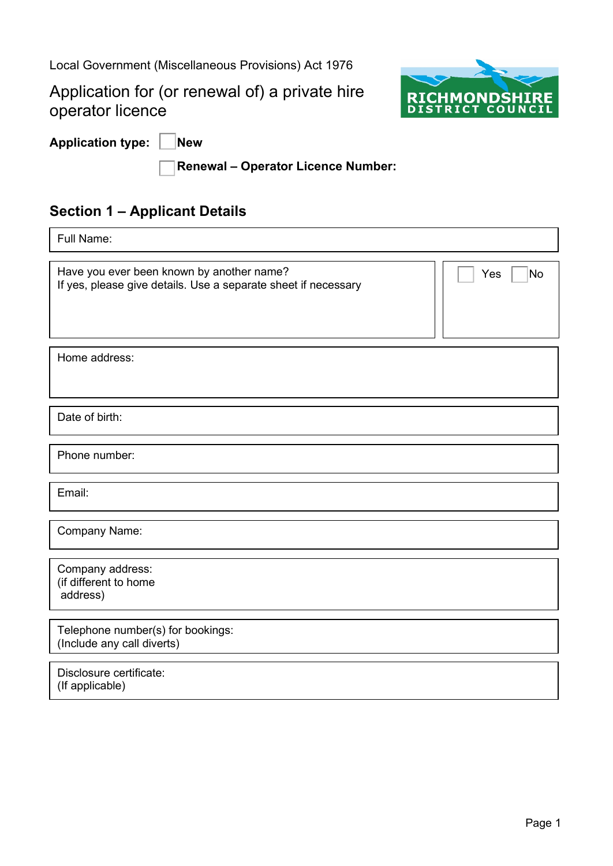Local Government (Miscellaneous Provisions) Act 1976

 operator licence Application for (or renewal of) a private hire



 **Application type: New** 

**Renewal – Operator Licence Number:** 

## **Section 1 – Applicant Details**

| Full Name:                                                                                                  |                  |
|-------------------------------------------------------------------------------------------------------------|------------------|
| Have you ever been known by another name?<br>If yes, please give details. Use a separate sheet if necessary | Yes<br><b>No</b> |
| Home address:                                                                                               |                  |
| Date of birth:                                                                                              |                  |
| Phone number:                                                                                               |                  |
| Email:                                                                                                      |                  |
| Company Name:                                                                                               |                  |
| Company address:<br>(if different to home<br>address)                                                       |                  |
| Telephone number(s) for bookings:                                                                           |                  |

(Include any call diverts)

Disclosure certificate: (If applicable)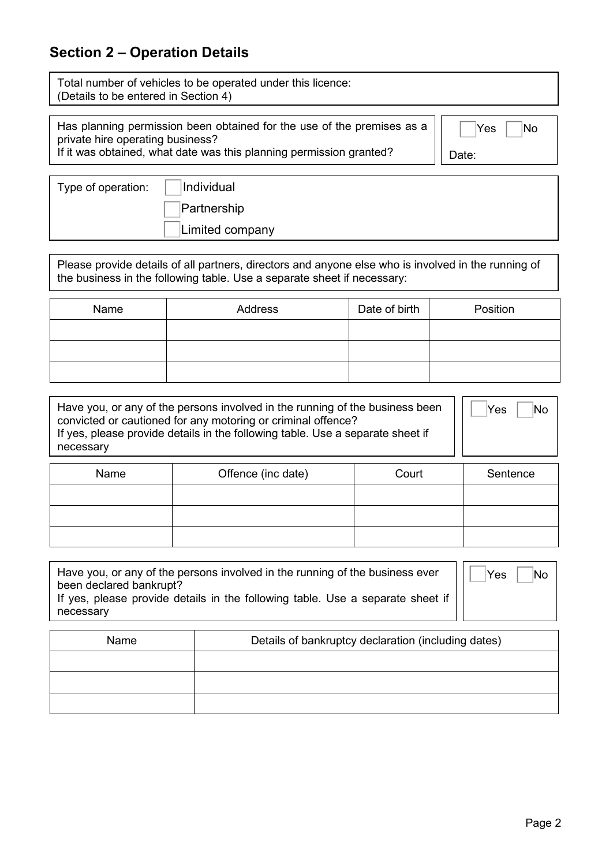## **Section 2 – Operation Details**

Total number of vehicles to be operated under this licence: (Details to be entered in Section 4)

 Has planning permission been obtained for the use of the premises as a private hire operating business?

 $\Box$ Yes  $\Box$ No

If it was obtained, what date was this planning permission granted?

|       | . |  |
|-------|---|--|
| Date: |   |  |

| Type of operation: $\vert$ | Individual      |
|----------------------------|-----------------|
|                            | Partnership     |
|                            | Limited company |

Please provide details of all partners, directors and anyone else who is involved in the running of the business in the following table. Use a separate sheet if necessary:

| Name | Address | Date of birth | Position |
|------|---------|---------------|----------|
|      |         |               |          |
|      |         |               |          |
|      |         |               |          |

| Name | Offence (inc date) | Court | Sentence |
|------|--------------------|-------|----------|
|      |                    |       |          |
|      |                    |       |          |
|      |                    |       |          |

| Have you, or any of the persons involved in the running of the business ever<br>been declared bankrupt?<br>  If yes, please provide details in the following table. Use a separate sheet if   <br>necessary | 'Yes | $\overline{\textsf{No}}$ |
|-------------------------------------------------------------------------------------------------------------------------------------------------------------------------------------------------------------|------|--------------------------|
|                                                                                                                                                                                                             |      |                          |

| Name | Details of bankruptcy declaration (including dates) |  |
|------|-----------------------------------------------------|--|
|      |                                                     |  |
|      |                                                     |  |
|      |                                                     |  |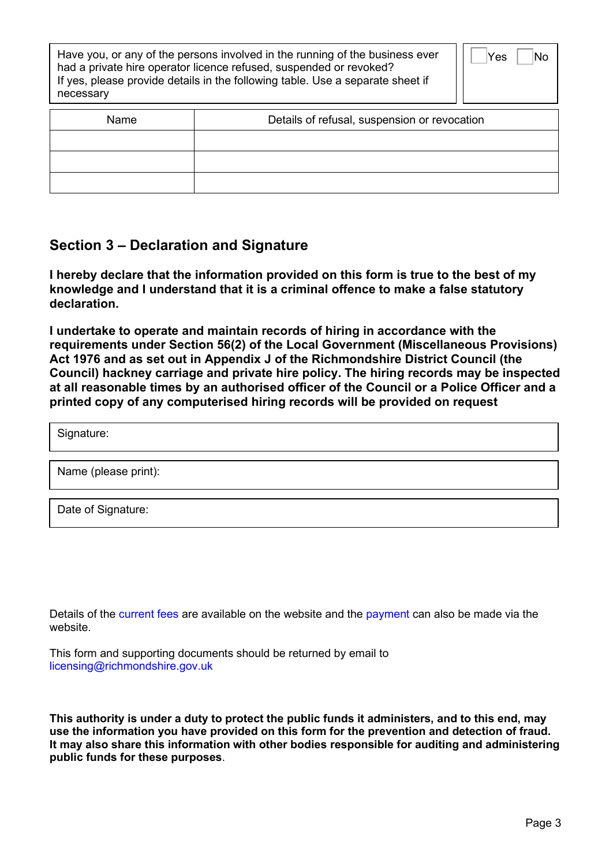| necessary | Have you, or any of the persons involved in the running of the business ever<br>had a private hire operator licence refused, suspended or revoked?<br>If yes, please provide details in the following table. Use a separate sheet if | Yes<br>No |
|-----------|--------------------------------------------------------------------------------------------------------------------------------------------------------------------------------------------------------------------------------------|-----------|
| Name      | Details of refusal, suspension or revocation                                                                                                                                                                                         |           |
|           |                                                                                                                                                                                                                                      |           |
|           |                                                                                                                                                                                                                                      |           |
|           |                                                                                                                                                                                                                                      |           |

## **Section 3 – Declaration and Signature**

declaration. **I hereby declare that the information provided on this form is true to the best of my knowledge and I understand that it is a criminal offence to make a false statutory** 

declaration.<br>I undertake to operate and maintain records of hiring in accordance with the  **Act 1976 and as set out in Appendix J of the Richmondshire District Council (the Council) hackney carriage and private hire policy. The hiring records may be inspected requirements under Section 56(2) of the Local Government (Miscellaneous Provisions) at all reasonable times by an authorised officer of the Council or a Police Officer and a printed copy of any computerised hiring records will be provided on request** 

| <sup>1</sup> Signature: |  |
|-------------------------|--|
| Name (please print):    |  |

Date of Signature:

Details of the [current fees](https://www.richmondshire.gov.uk/licensing/) are available on the website and the [payment](https://www.richmondshire.gov.uk/pay/) can also be made via the website.

This form and supporting documents should be returned by email to [licensing@richmondshire.gov.uk](mailto:licensing@richmondshire.gov.uk) 

 **use the information you have provided on this form for the prevention and detection of fraud. It may also share this information with other bodies responsible for auditing and administering This authority is under a duty to protect the public funds it administers, and to this end, may public funds for these purposes**.